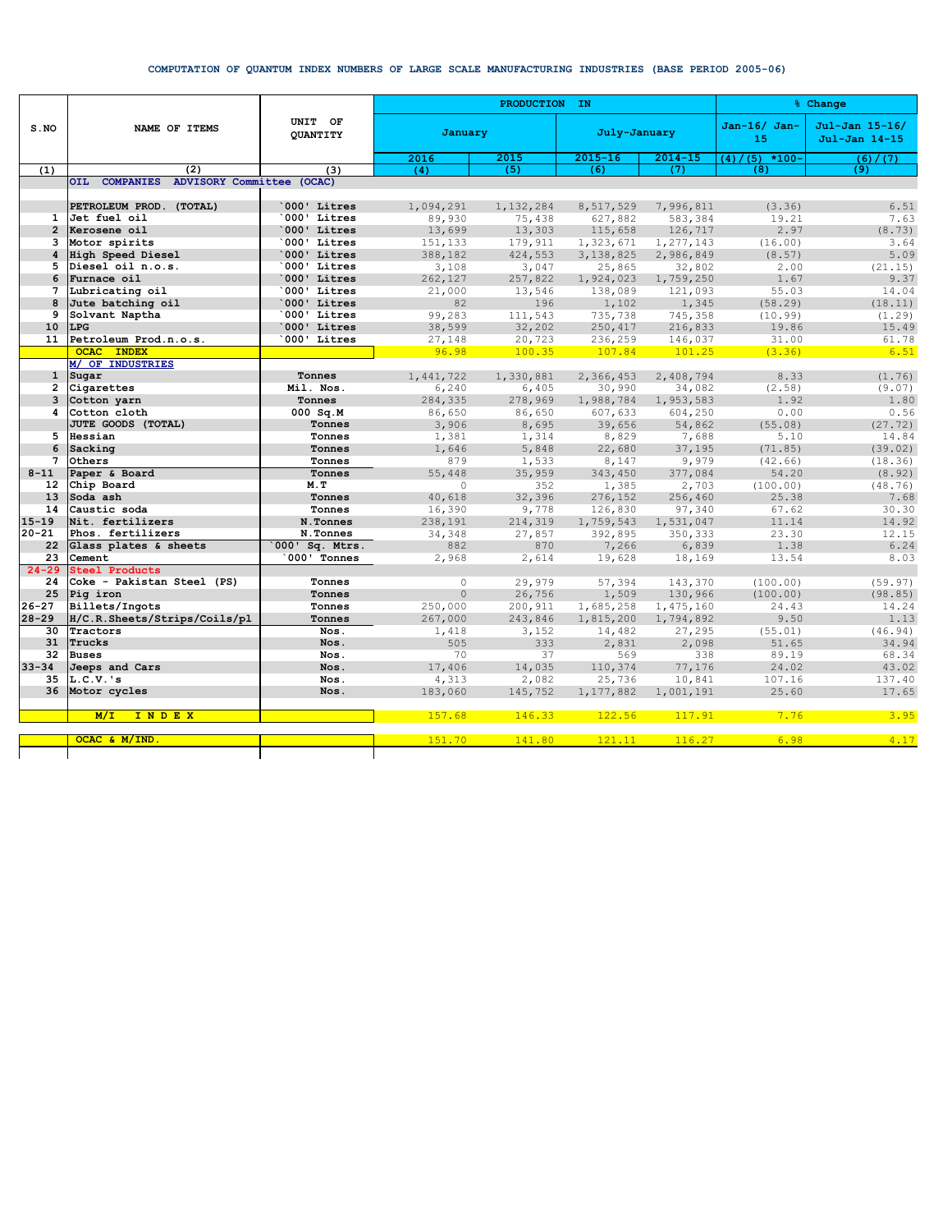## COMPUTATION OF QUANTUM INDEX NUMBERS OF LARGE SCALE MANUFACTURING INDUSTRIES (BASE PERIOD 2005-06)

|                                | NAME OF ITEMS                           | UNIT OF<br><b>OUANTITY</b> |                  | PRODUCTION IN      | % Change               |                        |                      |                                 |
|--------------------------------|-----------------------------------------|----------------------------|------------------|--------------------|------------------------|------------------------|----------------------|---------------------------------|
| S.NO                           |                                         |                            | January          |                    | July-January           |                        | $Jan-16/ Jan-$<br>15 | Jul-Jan 15-16/<br>Jul-Jan 14-15 |
|                                |                                         |                            | 2016             | 2015               | $2015 - 16$            | $2014 - 15$            | $(5)$ *100-<br>(4)   | (6) / (7)                       |
| (1)                            | (2)                                     | (3)                        | (4)              | (5)                | (6)                    | (7)                    | (8)                  | (9)                             |
|                                | OIL COMPANIES ADVISORY Committee (OCAC) |                            |                  |                    |                        |                        |                      |                                 |
|                                |                                         |                            |                  |                    |                        |                        |                      |                                 |
|                                | PETROLEUM PROD. (TOTAL)                 | 000' Litres                | 1,094,291        | 1,132,284          | 8,517,529              | 7,996,811              | (3.36)               | 6.51                            |
| $\mathbf{1}$<br>$\overline{2}$ | Jet fuel oil<br>Kerosene oil            | 000' Litres<br>000' Litres | 89,930<br>13,699 | 75,438<br>13,303   | 627,882<br>115,658     | 583,384                | 19.21<br>2.97        | 7.63<br>(8.73)                  |
| 3                              | Motor spirits                           | 000' Litres                | 151,133          |                    |                        | 126,717                | (16.00)              | 3.64                            |
| 4                              | High Speed Diesel                       | 000' Litres                | 388,182          | 179,911<br>424,553 | 1,323,671<br>3,138,825 | 1,277,143<br>2,986,849 | (8.57)               | 5.09                            |
| 5                              | Diesel oil n.o.s.                       | 000' Litres                | 3,108            | 3,047              | 25,865                 | 32,802                 | 2.00                 | (21.15)                         |
| 6                              | Furnace oil                             | 000' Litres                | 262,127          | 257,822            | 1,924,023              | 1,759,250              | 1.67                 | 9.37                            |
| 7                              | Lubricating oil                         | 000' Litres                | 21,000           | 13,546             | 138,089                | 121,093                | 55.03                | 14.04                           |
| 8                              | Jute batching oil                       | 000' Litres                | 82               | 196                | 1,102                  | 1,345                  | (58.29)              | (18.11)                         |
| 9                              | Solvant Naptha                          | 000' Litres                | 99,283           | 111,543            | 735,738                | 745,358                | (10.99)              | (1.29)                          |
| 10                             | <b>LPG</b>                              | 000' Litres                | 38,599           | 32,202             | 250,417                | 216,833                | 19.86                | 15.49                           |
| 11                             | Petroleum Prod.n.o.s.                   | 000' Litres                | 27,148           | 20,723             | 236,259                | 146,037                | 31.00                | 61.78                           |
|                                | <b>OCAC INDEX</b>                       |                            | 96.98            | 100.35             | 107.84                 | 101.25                 | (3.36)               | 6.51                            |
|                                | M/ OF INDUSTRIES                        |                            |                  |                    |                        |                        |                      |                                 |
| $\mathbf{1}$                   | Sugar                                   | Tonnes                     | 1,441,722        | 1,330,881          | 2,366,453              | 2,408,794              | 8.33                 | (1.76)                          |
| $\overline{2}$                 | Cigarettes                              | Mil. Nos.                  | 6,240            | 6,405              | 30,990                 | 34,082                 | (2.58)               | (9.07)                          |
| 3                              | Cotton yarn                             | Tonnes                     | 284,335          | 278,969            | 1,988,784              | 1,953,583              | 1.92                 | 1.80                            |
| 4                              | Cotton cloth                            | $000$ Sq.M                 | 86,650           | 86,650             | 607,633                | 604,250                | 0.00                 | 0.56                            |
|                                | JUTE GOODS (TOTAL)                      | Tonnes                     | 3,906            | 8,695              | 39,656                 | 54,862                 | (55.08)              | (27.72)                         |
| 5                              | Hessian                                 | Tonnes                     | 1,381            | 1,314              | 8,829                  | 7,688                  | 5.10                 | 14.84                           |
| 6                              | Sacking                                 | Tonnes                     | 1,646            | 5,848              | 22,680                 | 37,195                 | (71.85)              | (39.02)                         |
| 7                              | Others                                  | Tonnes                     | 879              | 1,533              | 8,147                  | 9,979                  | (42.66)              | (18.36)                         |
| $8 - 11$                       | Paper & Board                           | Tonnes                     | 55,448           | 35,959             | 343,450                | 377,084                | 54.20                | (8.92)                          |
| 12 <sup>2</sup>                | Chip Board                              | M.T                        | $\circ$          | 352                | 1,385                  | 2,703                  | (100.00)             | (48.76)                         |
| 13                             | Soda ash                                | Tonnes                     | 40,618           | 32,396             | 276,152                | 256,460                | 25.38                | 7.68                            |
| 14                             | Caustic soda                            | Tonnes                     | 16,390           | 9,778              | 126,830                | 97,340                 | 67.62                | 30.30                           |
| $15 - 19$                      | Nit. fertilizers                        | N.Tonnes                   | 238,191          | 214,319            | 1,759,543              | 1,531,047              | 11.14                | 14.92                           |
| $20 - 21$                      | Phos. fertilizers                       | N.Tonnes                   | 34,348           | 27,857             | 392,895                | 350,333                | 23.30                | 12.15                           |
| 22                             | Glass plates & sheets                   | 000' Sq. Mtrs.             | 882              | 870                | 7,266                  | 6,839                  | 1.38                 | 6.24                            |
| 23                             | Cement                                  | 000' Tonnes                | 2,968            | 2,614              | 19,628                 | 18,169                 | 13.54                | 8.03                            |
| $24 - 29$                      | <b>Steel Products</b>                   |                            |                  |                    |                        |                        |                      |                                 |
| 24                             | Coke - Pakistan Steel (PS)              | Tonnes                     | $\circ$          | 29,979             | 57,394                 | 143,370                | (100.00)             | (59.97)                         |
| 25                             | Pig iron                                | Tonnes                     | $\circ$          | 26,756             | 1,509                  | 130,966                | (100.00)             | (98.85)                         |
| $26 - 27$                      | Billets/Ingots                          | Tonnes                     | 250,000          | 200,911            | 1,685,258              | 1,475,160              | 24.43                | 14.24                           |
| $28 - 29$                      | H/C.R.Sheets/Strips/Coils/pl            | Tonnes                     | 267,000          | 243,846            | 1,815,200              | 1,794,892              | 9.50                 | 1.13                            |
| 30                             | Tractors                                | Nos.                       | 1,418            | 3,152              | 14,482                 | 27,295                 | (55.01)              | (46.94)                         |
| 31                             | Trucks                                  | Nos.                       | 505              | 333                | 2,831                  | 2,098                  | 51.65                | 34.94                           |
| 32                             | <b>Buses</b>                            | Nos.                       | 70               | 37                 | 569                    | 338                    | 89.19                | 68.34                           |
| $33 - 34$                      | Jeeps and Cars                          | Nos.                       | 17,406           | 14,035             | 110,374                | 77,176                 | 24.02                | 43.02                           |
| 35<br>36                       | $L.C.V.$ 's                             | Nos.                       | 4,313            | 2,082              | 25,736                 | 10,841                 | 107.16<br>25.60      | 137.40<br>17.65                 |
|                                | Motor cycles                            | Nos.                       | 183,060          | 145,752            | 1,177,882              | 1,001,191              |                      |                                 |
|                                | INDEX<br>M/L                            |                            | 157.68           | 146.33             | 122.56                 | 117.91                 | 7.76                 | 3.95                            |
|                                | OCAC & M/IND                            |                            | 151.70           | 141.80             | 121.11                 | 116.27                 | 6.98                 | 4.17                            |
|                                |                                         |                            |                  |                    |                        |                        |                      |                                 |
|                                |                                         |                            |                  |                    |                        |                        |                      |                                 |